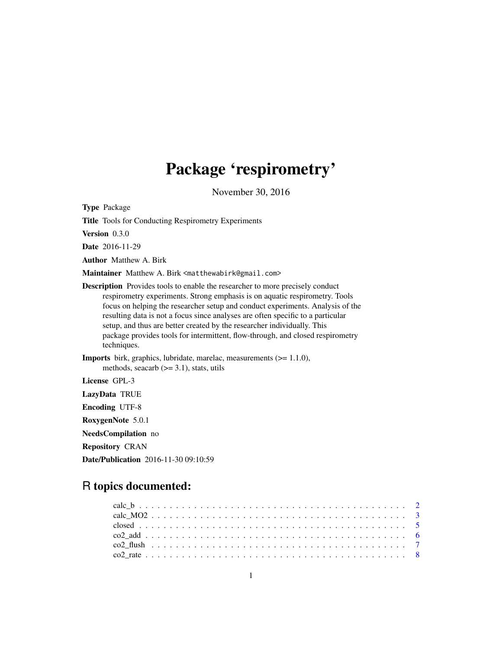# Package 'respirometry'

November 30, 2016

<span id="page-0-0"></span>Type Package

Title Tools for Conducting Respirometry Experiments

Version 0.3.0

Date 2016-11-29

Author Matthew A. Birk

Maintainer Matthew A. Birk <matthewabirk@gmail.com>

Description Provides tools to enable the researcher to more precisely conduct respirometry experiments. Strong emphasis is on aquatic respirometry. Tools focus on helping the researcher setup and conduct experiments. Analysis of the resulting data is not a focus since analyses are often specific to a particular setup, and thus are better created by the researcher individually. This package provides tools for intermittent, flow-through, and closed respirometry techniques.

Imports birk, graphics, lubridate, marelac, measurements (>= 1.1.0), methods, seacarb  $(>= 3.1)$ , stats, utils

License GPL-3

LazyData TRUE

Encoding UTF-8

RoxygenNote 5.0.1

NeedsCompilation no

Repository CRAN

Date/Publication 2016-11-30 09:10:59

## R topics documented: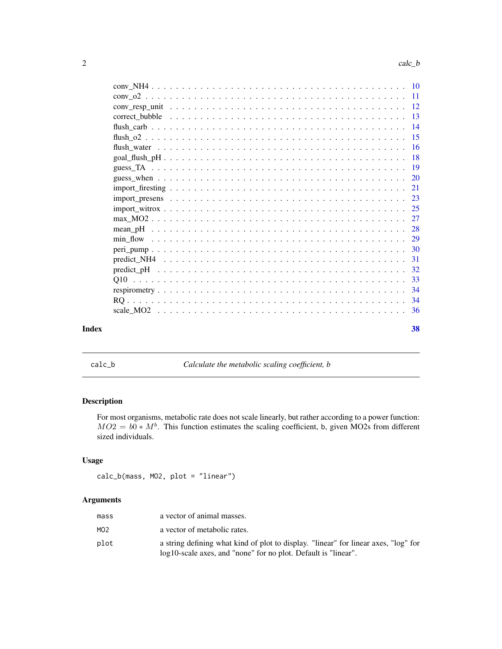<span id="page-1-0"></span>

|  | 38 |
|--|----|
|  |    |
|  |    |
|  |    |
|  |    |
|  |    |
|  |    |
|  |    |
|  |    |
|  |    |
|  |    |
|  |    |
|  |    |
|  |    |
|  |    |
|  |    |
|  |    |
|  |    |
|  |    |
|  |    |
|  |    |
|  |    |
|  |    |
|  |    |

<span id="page-1-1"></span>calc\_b *Calculate the metabolic scaling coefficient, b*

### Description

For most organisms, metabolic rate does not scale linearly, but rather according to a power function:  $MO2 = b0 * M<sup>b</sup>$ . This function estimates the scaling coefficient, b, given MO2s from different sized individuals.

### Usage

calc\_b(mass, MO2, plot = "linear")

## Arguments

| mass | a vector of animal masses.                                                                                                                            |
|------|-------------------------------------------------------------------------------------------------------------------------------------------------------|
| MO2  | a vector of metabolic rates.                                                                                                                          |
| plot | a string defining what kind of plot to display. "linear" for linear axes, "log" for<br>log10-scale axes, and "none" for no plot. Default is "linear". |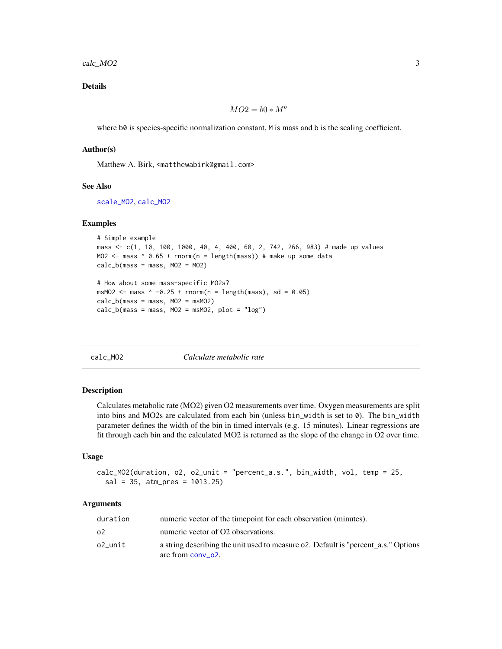<span id="page-2-0"></span>calc\_MO2 3

### Details

$$
MO2 = b0 * M^b
$$

where b0 is species-specific normalization constant, M is mass and b is the scaling coefficient.

### Author(s)

Matthew A. Birk, <matthewabirk@gmail.com>

#### See Also

[scale\\_MO2](#page-35-1), [calc\\_MO2](#page-2-1)

#### Examples

```
# Simple example
mass <- c(1, 10, 100, 1000, 40, 4, 400, 60, 2, 742, 266, 983) # made up values
MO2 <- mass ^ 0.65 + rnorm(n = length(mass)) # make up some data
calc_b(mass = mass, MO2 = MO2)
```

```
# How about some mass-specific MO2s?
msMO2 <- mass \land -0.25 + \text{rnorm}(n = \text{length}(mass), \text{sd} = 0.05)calc_b(mass = mass, MO2 = msMO2)calc_b(mass = mass, MO2 = msMO2, plot = "log")
```
<span id="page-2-1"></span>

calc\_MO2 *Calculate metabolic rate*

#### Description

Calculates metabolic rate (MO2) given O2 measurements over time. Oxygen measurements are split into bins and MO2s are calculated from each bin (unless bin\_width is set to 0). The bin\_width parameter defines the width of the bin in timed intervals (e.g. 15 minutes). Linear regressions are fit through each bin and the calculated MO2 is returned as the slope of the change in O2 over time.

#### Usage

```
calc_MO2(duration, o2, o2_unit = "percent_a.s.", bin_width, vol, temp = 25,
  sal = 35, atm_pres = 1013.25)
```
### Arguments

| duration | numeric vector of the timepoint for each observation (minutes).                                         |
|----------|---------------------------------------------------------------------------------------------------------|
| ο2       | numeric vector of O2 observations.                                                                      |
| o2 unit  | a string describing the unit used to measure of. Default is "percent a.s." Options<br>are from conv o2. |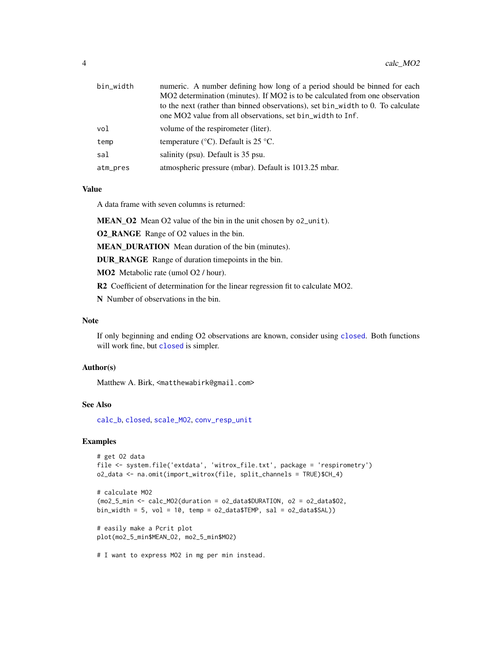<span id="page-3-0"></span>

| bin_width | numeric. A number defining how long of a period should be binned for each       |
|-----------|---------------------------------------------------------------------------------|
|           | MO2 determination (minutes). If MO2 is to be calculated from one observation    |
|           | to the next (rather than binned observations), set bin_width to 0. To calculate |
|           | one MO2 value from all observations, set bin_width to Inf.                      |
| vol       | volume of the respirometer (liter).                                             |
| temp      | temperature ( $\rm{^{\circ}C}$ ). Default is 25 $\rm{^{\circ}C}$ .              |
| sal       | salinity (psu). Default is 35 psu.                                              |
| atm_pres  | atmospheric pressure (mbar). Default is 1013.25 mbar.                           |

### Value

A data frame with seven columns is returned:

MEAN\_O2 Mean O2 value of the bin in the unit chosen by o2\_unit).

O2\_RANGE Range of O2 values in the bin.

MEAN\_DURATION Mean duration of the bin (minutes).

DUR\_RANGE Range of duration timepoints in the bin.

MO2 Metabolic rate (umol O2 / hour).

R2 Coefficient of determination for the linear regression fit to calculate MO2.

N Number of observations in the bin.

### Note

If only beginning and ending O2 observations are known, consider using [closed](#page-4-1). Both functions will work fine, but [closed](#page-4-1) is simpler.

#### Author(s)

Matthew A. Birk, <matthewabirk@gmail.com>

### See Also

[calc\\_b](#page-1-1), [closed](#page-4-1), [scale\\_MO2](#page-35-1), [conv\\_resp\\_unit](#page-11-1)

### Examples

```
# get O2 data
file <- system.file('extdata', 'witrox_file.txt', package = 'respirometry')
o2_data <- na.omit(import_witrox(file, split_channels = TRUE)$CH_4)
```

```
# calculate MO2
(mo2_5_min < -calcalc_MO2(duration = o2_data$DURATION, o2 = o2_data$02,
bin_width = 5, vol = 10, temp = o2_data$TEMP, sal = o2_data$SAL))
```
# easily make a Pcrit plot plot(mo2\_5\_min\$MEAN\_O2, mo2\_5\_min\$MO2)

# I want to express MO2 in mg per min instead.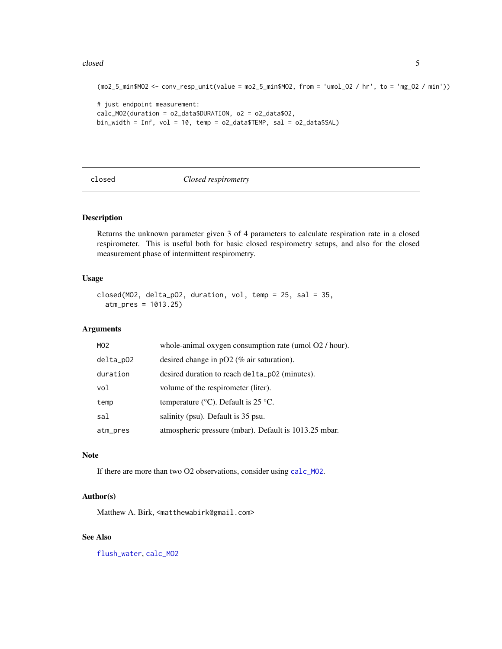#### <span id="page-4-0"></span>closed 5

```
(mo2_5_min$MO2 <- conv_resp_unit(value = mo2_5_min$MO2, from = 'umol_O2 / hr', to = 'mg_O2 / min'))
# just endpoint measurement:
calc_MO2(duration = o2_data$DURATION, o2 = o2_data$O2,
bin_width = Inf, vol = 10, temp = o2_data$TEMP, sal = o2_data$SAL)
```
<span id="page-4-1"></span>closed *Closed respirometry*

### Description

Returns the unknown parameter given 3 of 4 parameters to calculate respiration rate in a closed respirometer. This is useful both for basic closed respirometry setups, and also for the closed measurement phase of intermittent respirometry.

#### Usage

```
closed(MO2, delta_pO2, duration, vol, temp = 25, sal = 35,
  atm_pres = 1013.25)
```
### Arguments

| MO <sub>2</sub> | whole-animal oxygen consumption rate (umol $O2 / \text{hour}$ ). |
|-----------------|------------------------------------------------------------------|
| $delta_p02$     | desired change in $pO2$ (% air saturation).                      |
| duration        | desired duration to reach delta_p02 (minutes).                   |
| vol             | volume of the respirometer (liter).                              |
| temp            | temperature ( $\rm{°C}$ ). Default is 25 $\rm{°C}$ .             |
| sal             | salinity (psu). Default is 35 psu.                               |
| atm_pres        | atmospheric pressure (mbar). Default is 1013.25 mbar.            |

### Note

If there are more than two O2 observations, consider using [calc\\_MO2](#page-2-1).

### Author(s)

Matthew A. Birk, <matthewabirk@gmail.com>

### See Also

[flush\\_water](#page-15-1), [calc\\_MO2](#page-2-1)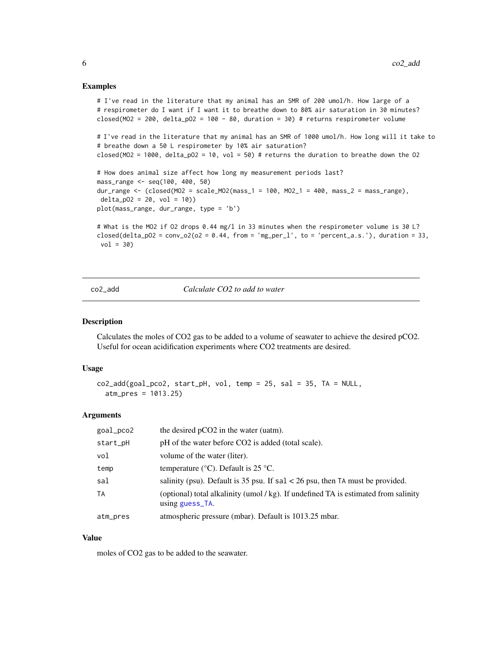#### <span id="page-5-0"></span>Examples

```
# I've read in the literature that my animal has an SMR of 200 umol/h. How large of a
# respirometer do I want if I want it to breathe down to 80% air saturation in 30 minutes?
closed(MO2 = 200, delta_pO2 = 100 - 80, duration = 30) # returns respirometer volume
# I've read in the literature that my animal has an SMR of 1000 umol/h. How long will it take to
# breathe down a 50 L respirometer by 10% air saturation?
closed(MO2 = 1000, delta_pO2 = 10, vol = 50) # returns the duration to breathe down the O2
# How does animal size affect how long my measurement periods last?
mass_range <- seq(100, 400, 50)
dur_range <- (closed(MO2 = scale_MO2(mass_1 = 100, MO2_1 = 400, mass_2 = mass_range),
delta_p02 = 20, vol = 10)plot(mass_range, dur_range, type = 'b')
# What is the MO2 if O2 drops 0.44 mg/l in 33 minutes when the respirometer volume is 30 L?
closed(delta_p02 = conv_o2(o2 = 0.44, from = 'mg_per_l', to = 'percent_a.s.'), duration = 33,
vol = 30
```
<span id="page-5-1"></span>co2\_add *Calculate CO2 to add to water*

#### Description

Calculates the moles of CO2 gas to be added to a volume of seawater to achieve the desired pCO2. Useful for ocean acidification experiments where CO2 treatments are desired.

#### Usage

```
co2_add(goal_pco2, start_pH, vol, temp = 25, sal = 35, TA = NULL,
  atm_pres = 1013.25)
```
#### Arguments

| goal_pco2 | the desired pCO2 in the water (uatm).                                                                  |
|-----------|--------------------------------------------------------------------------------------------------------|
| start_pH  | pH of the water before CO2 is added (total scale).                                                     |
| vol       | volume of the water (liter).                                                                           |
| temp      | temperature ( $\rm{^{\circ}C}$ ). Default is 25 $\rm{^{\circ}C}$ .                                     |
| sal       | salinity (psu). Default is 35 psu. If $sal < 26$ psu, then TA must be provided.                        |
| <b>TA</b> | (optional) total alkalinity (umol / kg). If undefined TA is estimated from salinity<br>using guess_TA. |
| atm_pres  | atmospheric pressure (mbar). Default is 1013.25 mbar.                                                  |

### Value

moles of CO2 gas to be added to the seawater.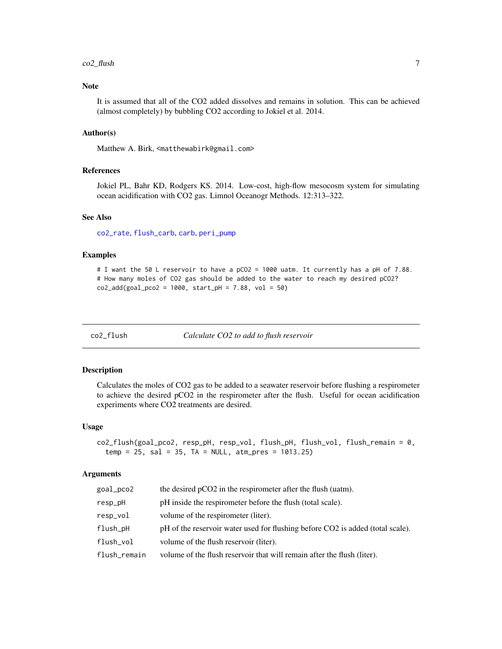#### <span id="page-6-0"></span> $\text{co2}_\text{Hush}$  7

### Note

It is assumed that all of the CO2 added dissolves and remains in solution. This can be achieved (almost completely) by bubbling CO2 according to Jokiel et al. 2014.

#### Author(s)

Matthew A. Birk, <matthewabirk@gmail.com>

#### References

Jokiel PL, Bahr KD, Rodgers KS. 2014. Low-cost, high-flow mesocosm system for simulating ocean acidification with CO2 gas. Limnol Oceanogr Methods. 12:313–322.

### See Also

[co2\\_rate](#page-7-1), [flush\\_carb](#page-13-1), [carb](#page-0-0), [peri\\_pump](#page-29-1)

#### Examples

```
# I want the 50 L reservoir to have a pCO2 = 1000 uatm. It currently has a pH of 7.88.
# How many moles of CO2 gas should be added to the water to reach my desired pCO2?
co2\_add(goa1\_pco2 = 1000, start\_pH = 7.88, vol = 50)
```
co2\_flush *Calculate CO2 to add to flush reservoir*

#### Description

Calculates the moles of CO2 gas to be added to a seawater reservoir before flushing a respirometer to achieve the desired pCO2 in the respirometer after the flush. Useful for ocean acidification experiments where CO2 treatments are desired.

#### Usage

```
co2_flush(goal_pco2, resp_pH, resp_vol, flush_pH, flush_vol, flush_remain = 0,
  temp = 25, sal = 35, TA = NULL, atm_pres = 1013.25)
```
### Arguments

| goal_pco2    | the desired pCO2 in the respirometer after the flush (uatm).                   |
|--------------|--------------------------------------------------------------------------------|
| resp_pH      | pH inside the respirometer before the flush (total scale).                     |
| resp_vol     | volume of the respirometer (liter).                                            |
| flush_pH     | pH of the reservoir water used for flushing before CO2 is added (total scale). |
| flush_vol    | volume of the flush reservoir (liter).                                         |
| flush_remain | volume of the flush reservoir that will remain after the flush (liter).        |
|              |                                                                                |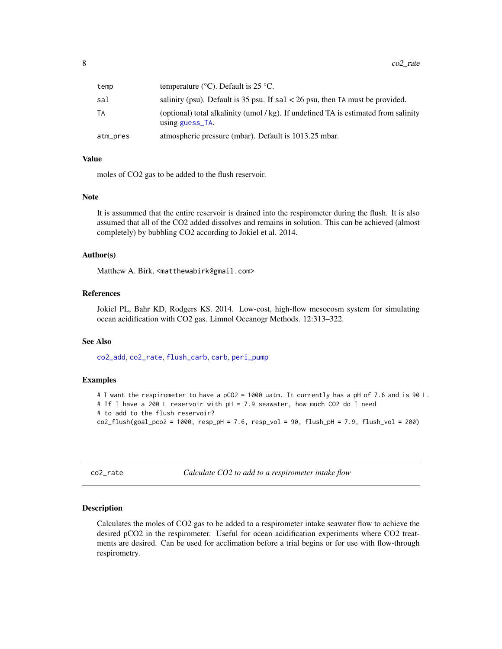<span id="page-7-0"></span>

| temp     | temperature ( $\rm{°C}$ ). Default is 25 $\rm{°C}$ .                                                    |
|----------|---------------------------------------------------------------------------------------------------------|
| sal      | salinity (psu). Default is 35 psu. If $sal < 26$ psu, then TA must be provided.                         |
| ТA       | (optional) total alkalinity (umol/kg). If undefined TA is estimated from salinity<br>using guess $TA$ . |
| atm_pres | atmospheric pressure (mbar). Default is 1013.25 mbar.                                                   |

### Value

moles of CO2 gas to be added to the flush reservoir.

#### Note

It is assummed that the entire reservoir is drained into the respirometer during the flush. It is also assumed that all of the CO2 added dissolves and remains in solution. This can be achieved (almost completely) by bubbling CO2 according to Jokiel et al. 2014.

#### Author(s)

Matthew A. Birk, <matthewabirk@gmail.com>

### References

Jokiel PL, Bahr KD, Rodgers KS. 2014. Low-cost, high-flow mesocosm system for simulating ocean acidification with CO2 gas. Limnol Oceanogr Methods. 12:313–322.

### See Also

[co2\\_add](#page-5-1), [co2\\_rate](#page-7-1), [flush\\_carb](#page-13-1), [carb](#page-0-0), [peri\\_pump](#page-29-1)

#### Examples

```
# I want the respirometer to have a pCO2 = 1000 uatm. It currently has a pH of 7.6 and is 90 L.
# If I have a 200 L reservoir with pH = 7.9 seawater, how much CO2 do I need
# to add to the flush reservoir?
co2_flush(goal_pco2 = 1000, resp_pH = 7.6, resp_vol = 90, flush_pH = 7.9, flush_vol = 200)
```
<span id="page-7-1"></span>co2\_rate *Calculate CO2 to add to a respirometer intake flow*

#### Description

Calculates the moles of CO2 gas to be added to a respirometer intake seawater flow to achieve the desired pCO2 in the respirometer. Useful for ocean acidification experiments where CO2 treatments are desired. Can be used for acclimation before a trial begins or for use with flow-through respirometry.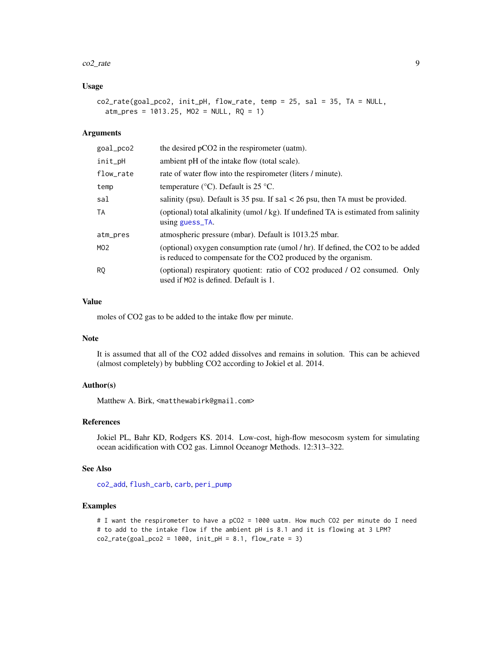#### <span id="page-8-0"></span> $\text{co2}_\text{rate}$  = 9

### Usage

 $co2_rate(goa1_pco2, init_pH, flow_rate, temp = 25, sal = 35, TA = NULL,$  $atm_{\text{p}}$ res = 1013.25, MO2 = NULL, RQ = 1)

#### Arguments

| goal_pco2       | the desired pCO2 in the respirometer (uatm).                                                                                                      |
|-----------------|---------------------------------------------------------------------------------------------------------------------------------------------------|
| init_pH         | ambient pH of the intake flow (total scale).                                                                                                      |
| flow_rate       | rate of water flow into the respirometer (liters / minute).                                                                                       |
| temp            | temperature ( $\rm{°C}$ ). Default is 25 $\rm{°C}$ .                                                                                              |
| sal             | salinity (psu). Default is 35 psu. If $sal < 26$ psu, then TA must be provided.                                                                   |
| <b>TA</b>       | (optional) total alkalinity (umol/kg). If undefined TA is estimated from salinity<br>using guess_TA.                                              |
| atm_pres        | atmospheric pressure (mbar). Default is 1013.25 mbar.                                                                                             |
| MO <sub>2</sub> | (optional) oxygen consumption rate (umol / hr). If defined, the CO2 to be added<br>is reduced to compensate for the CO2 produced by the organism. |
| <b>RQ</b>       | (optional) respiratory quotient: ratio of CO2 produced / O2 consumed. Only<br>used if MO2 is defined. Default is 1.                               |

### Value

moles of CO2 gas to be added to the intake flow per minute.

### Note

It is assumed that all of the CO2 added dissolves and remains in solution. This can be achieved (almost completely) by bubbling CO2 according to Jokiel et al. 2014.

### Author(s)

Matthew A. Birk, <matthewabirk@gmail.com>

#### References

Jokiel PL, Bahr KD, Rodgers KS. 2014. Low-cost, high-flow mesocosm system for simulating ocean acidification with CO2 gas. Limnol Oceanogr Methods. 12:313–322.

### See Also

[co2\\_add](#page-5-1), [flush\\_carb](#page-13-1), [carb](#page-0-0), [peri\\_pump](#page-29-1)

### Examples

# I want the respirometer to have a pCO2 = 1000 uatm. How much CO2 per minute do I need # to add to the intake flow if the ambient pH is 8.1 and it is flowing at 3 LPM?  $co2_rate(goal_pco2 = 1000, init_pH = 8.1, flow_rate = 3)$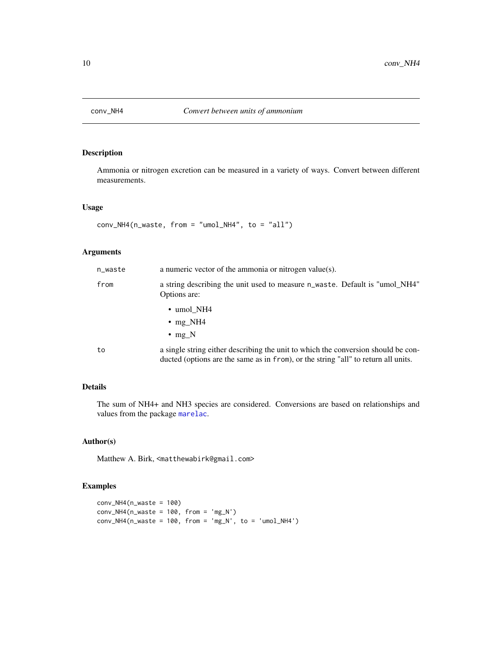<span id="page-9-1"></span><span id="page-9-0"></span>

### Description

Ammonia or nitrogen excretion can be measured in a variety of ways. Convert between different measurements.

### Usage

conv\_NH4(n\_waste, from = "umol\_NH4", to = "all")

### Arguments

| n_waste | a numeric vector of the ammonia or nitrogen value(s).                                                                                                                   |
|---------|-------------------------------------------------------------------------------------------------------------------------------------------------------------------------|
| from    | a string describing the unit used to measure n_waste. Default is "umol_NH4"<br>Options are:                                                                             |
|         | $\cdot$ umol NH4                                                                                                                                                        |
|         | $\cdot$ mg_NH4                                                                                                                                                          |
|         | $\cdot$ mg N                                                                                                                                                            |
| to      | a single string either describing the unit to which the conversion should be con-<br>ducted (options are the same as in from), or the string "all" to return all units. |

### Details

The sum of NH4+ and NH3 species are considered. Conversions are based on relationships and values from the package [marelac](#page-0-0).

### Author(s)

Matthew A. Birk, <matthewabirk@gmail.com>

### Examples

```
conv_NH4(n_waste = 100)
conv_NHA(n_waste = 100, from = 'mg_N')conv_NHA(n_waste = 100, from = 'mg_N', to = 'umol_NHA')
```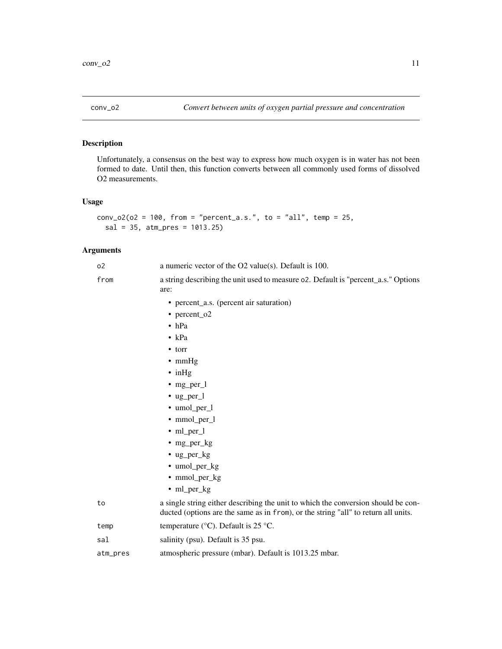<span id="page-10-1"></span><span id="page-10-0"></span>

### Description

Unfortunately, a consensus on the best way to express how much oxygen is in water has not been formed to date. Until then, this function converts between all commonly used forms of dissolved O2 measurements.

### Usage

```
conv_02(o2 = 100, from = "percent_a.s.", to = "all", temp = 25,
 sal = 35, atm_pres = 1013.25)
```
### Arguments

| <sub>0</sub> 2 | a numeric vector of the $O2$ value(s). Default is 100.                                                                                                                  |
|----------------|-------------------------------------------------------------------------------------------------------------------------------------------------------------------------|
| from           | a string describing the unit used to measure o2. Default is "percent_a.s." Options<br>are:                                                                              |
|                | • percent_a.s. (percent air saturation)                                                                                                                                 |
|                | • percent_o2                                                                                                                                                            |
|                | $\bullet$ hPa                                                                                                                                                           |
|                | $\bullet$ kPa                                                                                                                                                           |
|                | $\bullet$ torr                                                                                                                                                          |
|                | $\bullet$ mmHg                                                                                                                                                          |
|                | $\cdot$ in Hg                                                                                                                                                           |
|                | $\bullet$ mg_per_l                                                                                                                                                      |
|                | $\cdot$ ug_per_l                                                                                                                                                        |
|                | • umol_per_l                                                                                                                                                            |
|                | • mmol_per_l                                                                                                                                                            |
|                | $\cdot$ ml_per_l                                                                                                                                                        |
|                | $\cdot$ mg_per_kg                                                                                                                                                       |
|                | $\cdot$ ug_per_kg                                                                                                                                                       |
|                | • umol_per_kg                                                                                                                                                           |
|                | • mmol_per_kg                                                                                                                                                           |
|                | $\cdot$ ml_per_kg                                                                                                                                                       |
| to             | a single string either describing the unit to which the conversion should be con-<br>ducted (options are the same as in from), or the string "all" to return all units. |
| temp           | temperature ( $^{\circ}$ C). Default is 25 $^{\circ}$ C.                                                                                                                |
| sal            | salinity (psu). Default is 35 psu.                                                                                                                                      |
| atm_pres       | atmospheric pressure (mbar). Default is 1013.25 mbar.                                                                                                                   |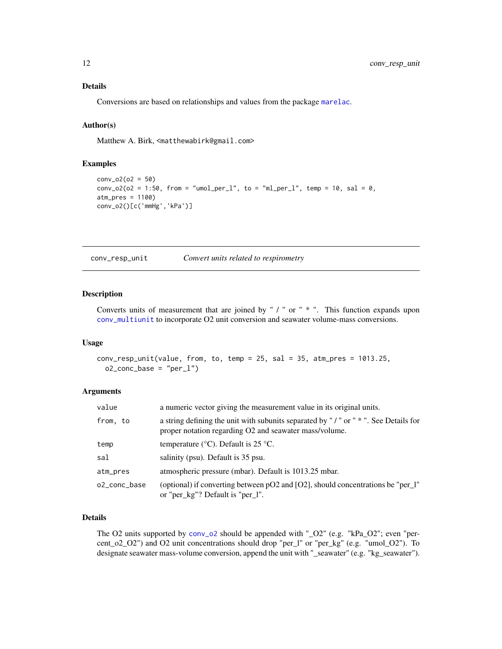### <span id="page-11-0"></span>Details

Conversions are based on relationships and values from the package [marelac](#page-0-0).

### Author(s)

Matthew A. Birk, <matthewabirk@gmail.com>

#### Examples

```
conv_02(o2 = 50)
conv_02(02 = 1:50, from = "umol_per_l", to = "ml_per_l", temp = 10, sal = 0,
atm_pres = 1100)
conv_o2()[c('mmHg','kPa')]
```
<span id="page-11-1"></span>conv\_resp\_unit *Convert units related to respirometry*

#### Description

Converts units of measurement that are joined by " / " or " \* ". This function expands upon [conv\\_multiunit](#page-0-0) to incorporate O2 unit conversion and seawater volume-mass conversions.

#### Usage

```
conv_resp_unit(value, from, to, temp = 25, sal = 35, atm_pres = 1013.25,
 o2_conc_base = "per_1")
```
#### Arguments

| value        | a numeric vector giving the measurement value in its original units.                                                                         |
|--------------|----------------------------------------------------------------------------------------------------------------------------------------------|
| from, to     | a string defining the unit with subunits separated by "/" or " *". See Details for<br>proper notation regarding O2 and seawater mass/volume. |
| temp         | temperature ( $\rm{^{\circ}C}$ ). Default is 25 $\rm{^{\circ}C}$ .                                                                           |
| sal          | salinity (psu). Default is 35 psu.                                                                                                           |
| atm_pres     | atmospheric pressure (mbar). Default is 1013.25 mbar.                                                                                        |
| o2_conc_base | (optional) if converting between $pO2$ and $[O2]$ , should concentrations be "per_l"<br>or "per_kg"? Default is "per_l".                     |

### Details

The O2 units supported by [conv\\_o2](#page-10-1) should be appended with "\_O2" (e.g. "kPa\_O2"; even "percent\_o2\_O2") and O2 unit concentrations should drop "per\_l" or "per\_kg" (e.g. "umol\_O2"). To designate seawater mass-volume conversion, append the unit with "\_seawater" (e.g. "kg\_seawater").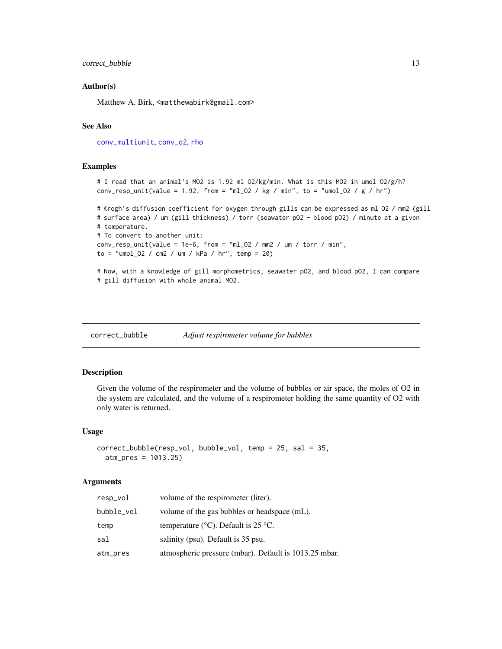### <span id="page-12-0"></span>correct\_bubble 13

### Author(s)

Matthew A. Birk, <matthewabirk@gmail.com>

### See Also

[conv\\_multiunit](#page-0-0), [conv\\_o2](#page-10-1), [rho](#page-0-0)

### Examples

```
# I read that an animal's MO2 is 1.92 ml O2/kg/min. What is this MO2 in umol O2/g/h?
conv_resp_unit(value = 1.92, from = "ml_02 / kg / min", to = "umol_02 / g / hr")
# Krogh's diffusion coefficient for oxygen through gills can be expressed as ml O2 / mm2 (gill
# surface area) / um (gill thickness) / torr (seawater pO2 - blood pO2) / minute at a given
# temperature.
# To convert to another unit:
conv\_resp\_unit(value = 1e-6, from = "ml_02 / mm2 / um / torr / min",to = "umol_02 / cm2 / um / kPa / hr", temp = 20)
```

```
# Now, with a knowledge of gill morphometrics, seawater pO2, and blood pO2, I can compare
# gill diffusion with whole animal MO2.
```
correct\_bubble *Adjust respirometer volume for bubbles*

#### Description

Given the volume of the respirometer and the volume of bubbles or air space, the moles of O2 in the system are calculated, and the volume of a respirometer holding the same quantity of O2 with only water is returned.

#### Usage

```
correct_bubble(resp_vol, bubble_vol, temp = 25, sal = 35,
  atm_pres = 1013.25)
```
#### Arguments

| resp_vol   | volume of the respirometer (liter).                                |
|------------|--------------------------------------------------------------------|
| bubble_vol | volume of the gas bubbles or headspace (mL).                       |
| temp       | temperature ( $\rm{^{\circ}C}$ ). Default is 25 $\rm{^{\circ}C}$ . |
| sal        | salinity (psu). Default is 35 psu.                                 |
| atm_pres   | atmospheric pressure (mbar). Default is 1013.25 mbar.              |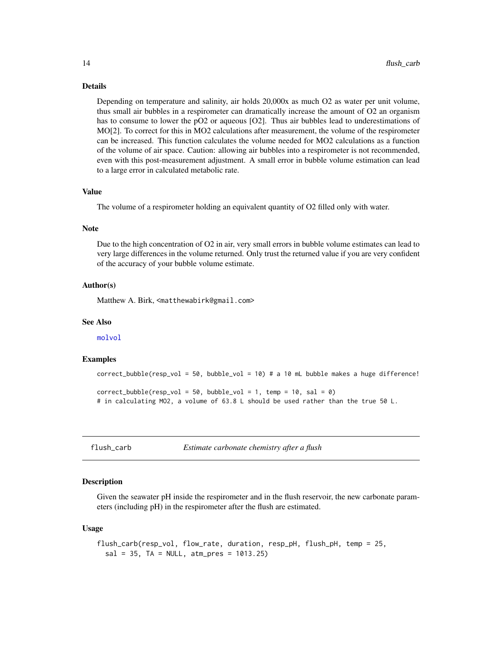#### Details

Depending on temperature and salinity, air holds 20,000x as much O2 as water per unit volume, thus small air bubbles in a respirometer can dramatically increase the amount of O2 an organism has to consume to lower the pO2 or aqueous [O2]. Thus air bubbles lead to underestimations of MO[2]. To correct for this in MO2 calculations after measurement, the volume of the respirometer can be increased. This function calculates the volume needed for MO2 calculations as a function of the volume of air space. Caution: allowing air bubbles into a respirometer is not recommended, even with this post-measurement adjustment. A small error in bubble volume estimation can lead to a large error in calculated metabolic rate.

### Value

The volume of a respirometer holding an equivalent quantity of O2 filled only with water.

#### **Note**

Due to the high concentration of O2 in air, very small errors in bubble volume estimates can lead to very large differences in the volume returned. Only trust the returned value if you are very confident of the accuracy of your bubble volume estimate.

### Author(s)

Matthew A. Birk, <matthewabirk@gmail.com>

#### See Also

[molvol](#page-0-0)

#### Examples

```
correct_bubble(resp_vol = 50, bubble_vol = 10) # a 10 mL bubble makes a huge difference!
```

```
correct_bubble(resp\_vol = 50, bubble\_vol = 1, temp = 10, sal = 0)
# in calculating MO2, a volume of 63.8 L should be used rather than the true 50 L.
```
<span id="page-13-1"></span>flush\_carb *Estimate carbonate chemistry after a flush*

### Description

Given the seawater pH inside the respirometer and in the flush reservoir, the new carbonate parameters (including pH) in the respirometer after the flush are estimated.

#### Usage

```
flush_carb(resp_vol, flow_rate, duration, resp_pH, flush_pH, temp = 25,
  sal = 35, TA = NULL, atm_pres = 1013.25
```
<span id="page-13-0"></span>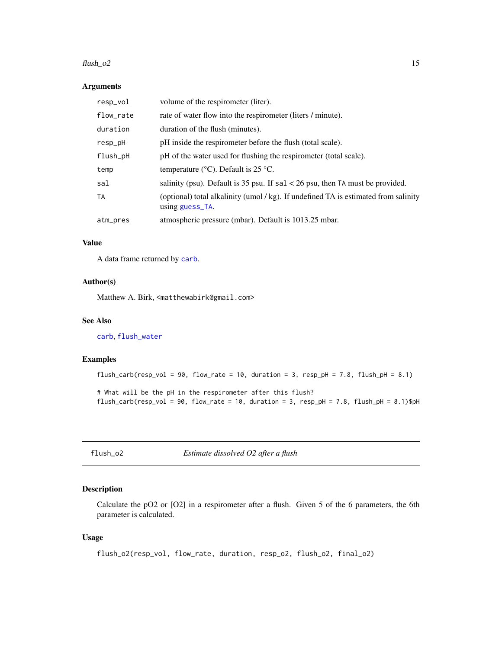#### <span id="page-14-0"></span> $\frac{\text{flux}}{\text{d}t}$  15

### Arguments

| resp_vol  | volume of the respirometer (liter).                                                                      |
|-----------|----------------------------------------------------------------------------------------------------------|
| flow_rate | rate of water flow into the respirometer (liters / minute).                                              |
| duration  | duration of the flush (minutes).                                                                         |
| resp_pH   | pH inside the respirometer before the flush (total scale).                                               |
| flush_pH  | pH of the water used for flushing the respirometer (total scale).                                        |
| temp      | temperature ( $\rm{°C}$ ). Default is 25 $\rm{°C}$ .                                                     |
| sal       | salinity (psu). Default is 35 psu. If $sal < 26$ psu, then TA must be provided.                          |
| TA        | (optional) total alkalinity (umol / kg). If undefined TA is estimated from salinity<br>using $guess$ TA. |
| atm_pres  | atmospheric pressure (mbar). Default is 1013.25 mbar.                                                    |

### Value

A data frame returned by [carb](#page-0-0).

#### Author(s)

Matthew A. Birk, <matthewabirk@gmail.com>

### See Also

[carb](#page-0-0), [flush\\_water](#page-15-1)

### Examples

```
flush_carb(resp_vol = 90, flow_rate = 10, duration = 3, resp_pH = 7.8, flush_pH = 8.1)
```
# What will be the pH in the respirometer after this flush? flush\_carb(resp\_vol = 90, flow\_rate = 10, duration = 3, resp\_pH = 7.8, flush\_pH = 8.1)\$pH

flush\_o2 *Estimate dissolved O2 after a flush*

### Description

Calculate the pO2 or [O2] in a respirometer after a flush. Given 5 of the 6 parameters, the 6th parameter is calculated.

### Usage

```
flush_o2(resp_vol, flow_rate, duration, resp_o2, flush_o2, final_o2)
```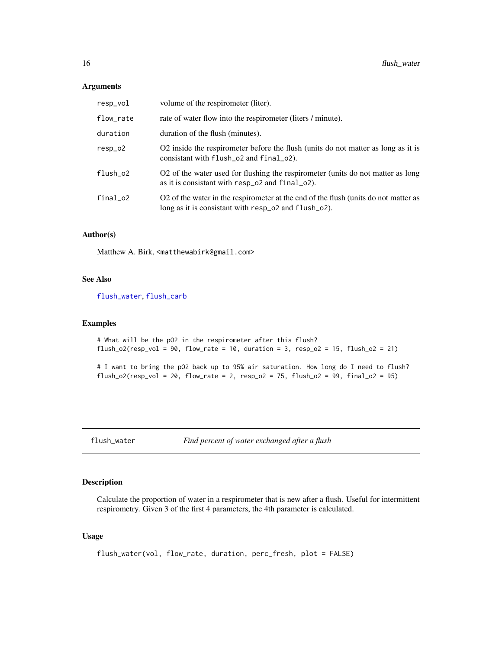#### <span id="page-15-0"></span>Arguments

| resp_vol  | volume of the respirometer (liter).                                                                                                         |
|-----------|---------------------------------------------------------------------------------------------------------------------------------------------|
| flow_rate | rate of water flow into the respirometer (liters / minute).                                                                                 |
| duration  | duration of the flush (minutes).                                                                                                            |
| $resp_02$ | O2 inside the respirometer before the flush (units do not matter as long as it is<br>consistant with flush_o2 and final_o2).                |
| flush_o2  | O2 of the water used for flushing the respirometer (units do not matter as long<br>as it is consistant with resp_o2 and final_o2).          |
| final_o2  | O2 of the water in the respirometer at the end of the flush (units do not matter as<br>long as it is consistant with resp_o2 and flush_o2). |

### Author(s)

Matthew A. Birk, <matthewabirk@gmail.com>

### See Also

[flush\\_water](#page-15-1), [flush\\_carb](#page-13-1)

#### Examples

```
# What will be the pO2 in the respirometer after this flush?
flush_o2(resp_vol = 90, flow_rate = 10, duration = 3, resp_o2 = 15, flush_o2 = 21)
```
# I want to bring the pO2 back up to 95% air saturation. How long do I need to flush? flush\_o2(resp\_vol = 20, flow\_rate = 2, resp\_o2 = 75, flush\_o2 = 99, final\_o2 = 95)

<span id="page-15-1"></span>flush\_water *Find percent of water exchanged after a flush*

### Description

Calculate the proportion of water in a respirometer that is new after a flush. Useful for intermittent respirometry. Given 3 of the first 4 parameters, the 4th parameter is calculated.

### Usage

```
flush_water(vol, flow_rate, duration, perc_fresh, plot = FALSE)
```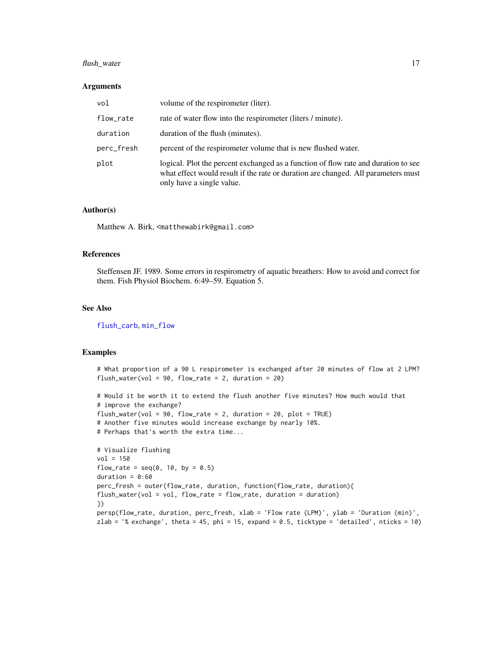### <span id="page-16-0"></span>flush\_water 17

#### Arguments

| vol        | volume of the respirometer (liter).                                                                                                                                                                  |
|------------|------------------------------------------------------------------------------------------------------------------------------------------------------------------------------------------------------|
| flow_rate  | rate of water flow into the respirometer (liters / minute).                                                                                                                                          |
| duration   | duration of the flush (minutes).                                                                                                                                                                     |
| perc_fresh | percent of the respirometer volume that is new flushed water.                                                                                                                                        |
| plot       | logical. Plot the percent exchanged as a function of flow rate and duration to see<br>what effect would result if the rate or duration are changed. All parameters must<br>only have a single value. |

### Author(s)

Matthew A. Birk, <matthewabirk@gmail.com>

### References

Steffensen JF. 1989. Some errors in respirometry of aquatic breathers: How to avoid and correct for them. Fish Physiol Biochem. 6:49–59. Equation 5.

### See Also

[flush\\_carb](#page-13-1), [min\\_flow](#page-28-1)

#### Examples

# What proportion of a 90 L respirometer is exchanged after 20 minutes of flow at 2 LPM? flush\_water(vol =  $90$ , flow\_rate = 2, duration =  $20$ )

```
# Would it be worth it to extend the flush another five minutes? How much would that
# improve the exchange?
flush_water(vol = 90, flow_rate = 2, duration = 20, plot = TRUE)
# Another five minutes would increase exchange by nearly 10%.
# Perhaps that's worth the extra time...
# Visualize flushing
vol = 150flow_rate = seq(0, 10, by = 0.5)duration = 0:60perc_fresh = outer(flow_rate, duration, function(flow_rate, duration){
flush_water(vol = vol, flow_rate = flow_rate, duration = duration)})
persp(flow_rate, duration, perc_fresh, xlab = 'Flow rate (LPM)', ylab = 'Duration (min)',
```
zlab = '% exchange', theta = 45, phi = 15, expand =  $0.5$ , ticktype = 'detailed', nticks = 10)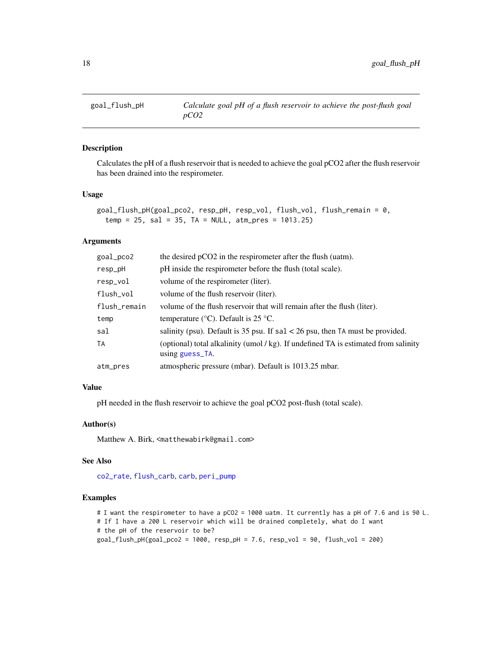<span id="page-17-0"></span>

### Description

Calculates the pH of a flush reservoir that is needed to achieve the goal pCO2 after the flush reservoir has been drained into the respirometer.

#### Usage

```
goal_flush_pH(goal_pco2, resp_pH, resp_vol, flush_vol, flush_remain = 0,
  temp = 25, sal = 35, TA = NULL, atm_pres = 1013.25)
```
### Arguments

| goal_pco2    | the desired pCO2 in the respirometer after the flush (uatm).                                           |
|--------------|--------------------------------------------------------------------------------------------------------|
| resp_pH      | pH inside the respirometer before the flush (total scale).                                             |
| resp_vol     | volume of the respirometer (liter).                                                                    |
| flush_vol    | volume of the flush reservoir (liter).                                                                 |
| flush_remain | volume of the flush reservoir that will remain after the flush (liter).                                |
| temp         | temperature ( $\degree$ C). Default is 25 $\degree$ C.                                                 |
| sal          | salinity (psu). Default is 35 psu. If $sal < 26$ psu, then TA must be provided.                        |
| TA           | (optional) total alkalinity (umol / kg). If undefined TA is estimated from salinity<br>using guess_TA. |
| atm_pres     | atmospheric pressure (mbar). Default is 1013.25 mbar.                                                  |
|              |                                                                                                        |

### Value

pH needed in the flush reservoir to achieve the goal pCO2 post-flush (total scale).

### Author(s)

Matthew A. Birk, <matthewabirk@gmail.com>

#### See Also

[co2\\_rate](#page-7-1), [flush\\_carb](#page-13-1), [carb](#page-0-0), [peri\\_pump](#page-29-1)

#### Examples

# I want the respirometer to have a pCO2 = 1000 uatm. It currently has a pH of 7.6 and is 90 L. # If I have a 200 L reservoir which will be drained completely, what do I want # the pH of the reservoir to be? goal\_flush\_pH(goal\_pco2 = 1000, resp\_pH = 7.6, resp\_vol = 90, flush\_vol = 200)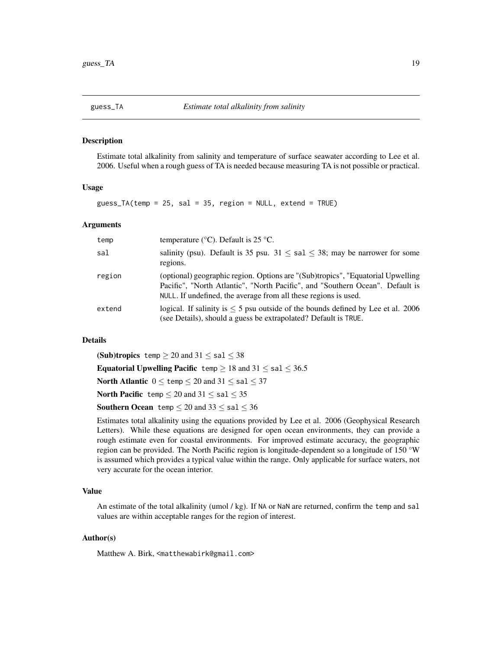<span id="page-18-1"></span><span id="page-18-0"></span>

### Description

Estimate total alkalinity from salinity and temperature of surface seawater according to Lee et al. 2006. Useful when a rough guess of TA is needed because measuring TA is not possible or practical.

#### Usage

guess\_TA(temp = 25, sal = 35, region = NULL, extend = TRUE)

#### Arguments

| temp   | temperature ( $\degree$ C). Default is 25 $\degree$ C.                                                                                                                                                                              |
|--------|-------------------------------------------------------------------------------------------------------------------------------------------------------------------------------------------------------------------------------------|
| sal    | salinity (psu). Default is 35 psu. $31 \le$ sal $\le$ 38; may be narrower for some<br>regions.                                                                                                                                      |
| region | (optional) geographic region. Options are "(Sub)tropics", "Equatorial Upwelling<br>Pacific", "North Atlantic", "North Pacific", and "Southern Ocean". Default is<br>NULL. If undefined, the average from all these regions is used. |
| extend | logical. If salinity is $\leq 5$ psu outside of the bounds defined by Lee et al. 2006<br>(see Details), should a guess be extrapolated? Default is TRUE.                                                                            |

### Details

(Sub)tropics temp  $\geq 20$  and  $31 \leq$  sal  $\leq 38$ Equatorial Upwelling Pacific temp  $\geq 18$  and  $31 \leq$  sal  $\leq 36.5$ North Atlantic  $0 \leq$  temp  $\leq 20$  and  $31 \leq$  sal  $\leq 37$ North Pacific temp  $\leq 20$  and  $31 \leq$  sal  $\leq 35$ **Southern Ocean** temp  $\leq 20$  and  $33 \leq$  sal  $\leq 36$ 

Estimates total alkalinity using the equations provided by Lee et al. 2006 (Geophysical Research Letters). While these equations are designed for open ocean environments, they can provide a rough estimate even for coastal environments. For improved estimate accuracy, the geographic region can be provided. The North Pacific region is longitude-dependent so a longitude of 150 °W is assumed which provides a typical value within the range. Only applicable for surface waters, not very accurate for the ocean interior.

### Value

An estimate of the total alkalinity (umol / kg). If NA or NaN are returned, confirm the temp and sal values are within acceptable ranges for the region of interest.

#### Author(s)

Matthew A. Birk, <matthewabirk@gmail.com>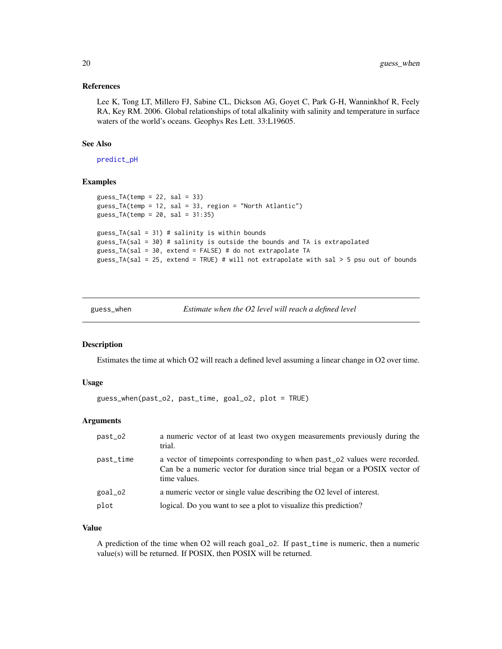#### <span id="page-19-0"></span>References

Lee K, Tong LT, Millero FJ, Sabine CL, Dickson AG, Goyet C, Park G-H, Wanninkhof R, Feely RA, Key RM. 2006. Global relationships of total alkalinity with salinity and temperature in surface waters of the world's oceans. Geophys Res Lett. 33:L19605.

### See Also

[predict\\_pH](#page-31-1)

#### Examples

```
guess_TA(temp = 22, sal = 33)
guess_TA(temp = 12, sal = 33, region = "North Atlantic")
guess_TA(temp = 20, sal = 31:35)
guess_TA(sal = 31) # salinity is within bounds
guess_TA(sal = 30) # salinity is outside the bounds and TA is extrapolated
guess_TA(sal = 30, extend = FALSE) # do not extrapolate TA
guess_TA(sal = 25, extend = TRUE) # will not extrapolate with sal > 5 psu out of bounds
```
guess\_when *Estimate when the O2 level will reach a defined level*

#### Description

Estimates the time at which O2 will reach a defined level assuming a linear change in O2 over time.

### Usage

```
guess_when(past_o2, past_time, goal_o2, plot = TRUE)
```
#### Arguments

| a vector of timepoints corresponding to when past $\sim$ 02 values were recorded.<br>past_time | a numeric vector of at least two oxygen measurements previously during the |
|------------------------------------------------------------------------------------------------|----------------------------------------------------------------------------|
| Can be a numeric vector for duration since trial began or a POSIX vector of<br>time values.    |                                                                            |
| a numeric vector or single value describing the O2 level of interest.<br>goal_o2               |                                                                            |
| plot<br>logical. Do you want to see a plot to visualize this prediction?                       |                                                                            |

#### Value

A prediction of the time when O2 will reach goal\_o2. If past\_time is numeric, then a numeric value(s) will be returned. If POSIX, then POSIX will be returned.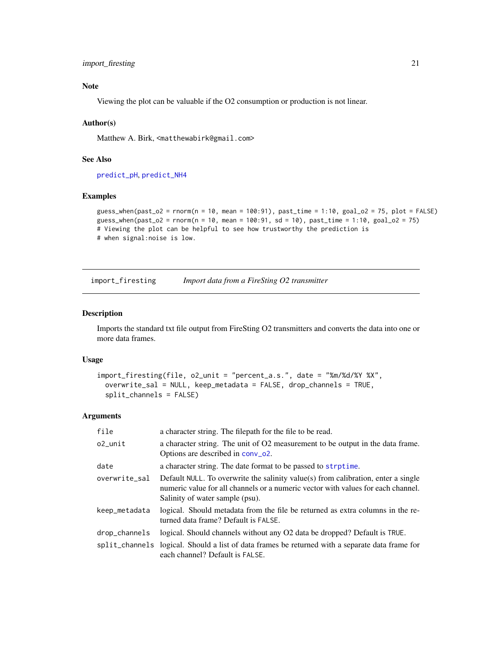### <span id="page-20-0"></span>import\_firesting 21

### Note

Viewing the plot can be valuable if the O2 consumption or production is not linear.

### Author(s)

Matthew A. Birk, <matthewabirk@gmail.com>

### See Also

[predict\\_pH](#page-31-1), [predict\\_NH4](#page-30-1)

#### Examples

```
guess_when(past_o2 = rnorm(n = 10, mean = 100:91), past_time = 1:10, goal_o2 = 75, plot = FALSE)
guess_when(past_o2 = rnorm(n = 10, mean = 100:91, sd = 10), past_time = 1:10, goal_o2 = 75)
# Viewing the plot can be helpful to see how trustworthy the prediction is
# when signal:noise is low.
```
<span id="page-20-1"></span>import\_firesting *Import data from a FireSting O2 transmitter*

#### Description

Imports the standard txt file output from FireSting O2 transmitters and converts the data into one or more data frames.

### Usage

```
import_firesting(file, o2_unit = "percent_a.s.", date = "%m/%d/%Y %X",
 overwrite_sal = NULL, keep_metadata = FALSE, drop_channels = TRUE,
  split_channels = FALSE)
```
### Arguments

| file          | a character string. The filepath for the file to be read.                                                                                                                                                |
|---------------|----------------------------------------------------------------------------------------------------------------------------------------------------------------------------------------------------------|
| o2_unit       | a character string. The unit of O2 measurement to be output in the data frame.<br>Options are described in conv_o2.                                                                                      |
| date          | a character string. The date format to be passed to strptime.                                                                                                                                            |
| overwrite_sal | Default NULL. To overwrite the salinity value(s) from calibration, enter a single<br>numeric value for all channels or a numeric vector with values for each channel.<br>Salinity of water sample (psu). |
| keep_metadata | logical. Should metadata from the file be returned as extra columns in the re-<br>turned data frame? Default is FALSE.                                                                                   |
| drop_channels | logical. Should channels without any O2 data be dropped? Default is TRUE.                                                                                                                                |
|               | split_channels logical. Should a list of data frames be returned with a separate data frame for<br>each channel? Default is FALSE.                                                                       |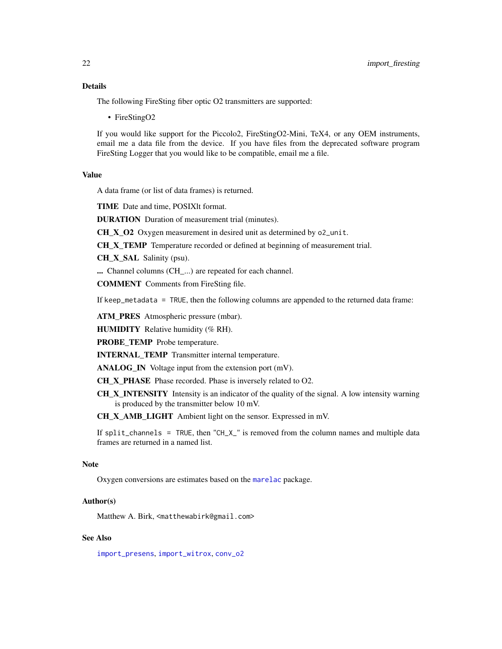### <span id="page-21-0"></span>Details

The following FireSting fiber optic O2 transmitters are supported:

• FireStingO2

If you would like support for the Piccolo2, FireStingO2-Mini, TeX4, or any OEM instruments, email me a data file from the device. If you have files from the deprecated software program FireSting Logger that you would like to be compatible, email me a file.

#### Value

A data frame (or list of data frames) is returned.

TIME Date and time, POSIXlt format.

DURATION Duration of measurement trial (minutes).

 $CH_X_02$  Oxygen measurement in desired unit as determined by  $o2$ -unit.

CH X TEMP Temperature recorded or defined at beginning of measurement trial.

CH X SAL Salinity (psu).

... Channel columns (CH\_...) are repeated for each channel.

COMMENT Comments from FireSting file.

If keep\_metadata = TRUE, then the following columns are appended to the returned data frame:

ATM\_PRES Atmospheric pressure (mbar).

HUMIDITY Relative humidity (% RH).

PROBE\_TEMP Probe temperature.

INTERNAL\_TEMP Transmitter internal temperature.

ANALOG\_IN Voltage input from the extension port (mV).

CH\_X\_PHASE Phase recorded. Phase is inversely related to O2.

CH X INTENSITY Intensity is an indicator of the quality of the signal. A low intensity warning is produced by the transmitter below 10 mV.

CH\_X\_AMB\_LIGHT Ambient light on the sensor. Expressed in mV.

If split\_channels = TRUE, then "CH\_X\_" is removed from the column names and multiple data frames are returned in a named list.

### **Note**

Oxygen conversions are estimates based on the [marelac](#page-0-0) package.

### Author(s)

Matthew A. Birk, <matthewabirk@gmail.com>

### See Also

[import\\_presens](#page-22-1), [import\\_witrox](#page-24-1), [conv\\_o2](#page-10-1)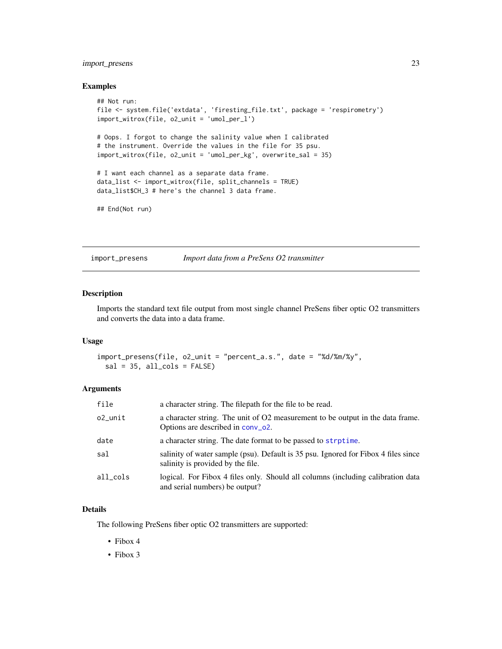### <span id="page-22-0"></span>import\_presens 23

### Examples

```
## Not run:
file <- system.file('extdata', 'firesting_file.txt', package = 'respirometry')
import_witrox(file, o2_unit = 'umol_per_l')
# Oops. I forgot to change the salinity value when I calibrated
# the instrument. Override the values in the file for 35 psu.
import_witrox(file, o2_unit = 'umol_per_kg', overwrite_sal = 35)
# I want each channel as a separate data frame.
data_list <- import_witrox(file, split_channels = TRUE)
data_list$CH_3 # here's the channel 3 data frame.
## End(Not run)
```
<span id="page-22-1"></span>import\_presens *Import data from a PreSens O2 transmitter*

#### Description

Imports the standard text file output from most single channel PreSens fiber optic O2 transmitters and converts the data into a data frame.

#### Usage

```
import_presens(file, o2_unit = "percent_a.s.", date = "%d/%m/%y",
 sal = 35, all_cols = FALSE
```
#### Arguments

| file     | a character string. The filepath for the file to be read.                                                               |
|----------|-------------------------------------------------------------------------------------------------------------------------|
| o2_unit  | a character string. The unit of O2 measurement to be output in the data frame.<br>Options are described in conv_o2.     |
| date     | a character string. The date format to be passed to strptime.                                                           |
| sal      | salinity of water sample (psu). Default is 35 psu. Ignored for Fibox 4 files since<br>salinity is provided by the file. |
| all cols | logical. For Fibox 4 files only. Should all columns (including calibration data<br>and serial numbers) be output?       |

### Details

The following PreSens fiber optic O2 transmitters are supported:

- Fibox 4
- Fibox 3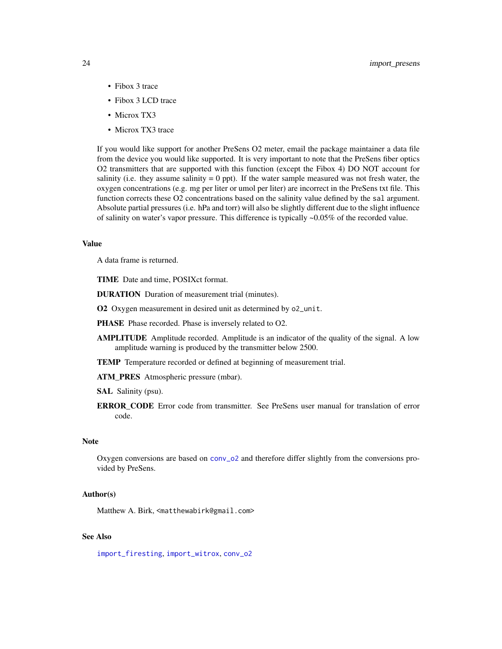- <span id="page-23-0"></span>• Fibox 3 trace
- Fibox 3 LCD trace
- Microx TX3
- Microx TX3 trace

If you would like support for another PreSens O2 meter, email the package maintainer a data file from the device you would like supported. It is very important to note that the PreSens fiber optics O2 transmitters that are supported with this function (except the Fibox 4) DO NOT account for salinity (i.e. they assume salinity  $= 0$  ppt). If the water sample measured was not fresh water, the oxygen concentrations (e.g. mg per liter or umol per liter) are incorrect in the PreSens txt file. This function corrects these O2 concentrations based on the salinity value defined by the sal argument. Absolute partial pressures (i.e. hPa and torr) will also be slightly different due to the slight influence of salinity on water's vapor pressure. This difference is typically ~0.05% of the recorded value.

#### Value

A data frame is returned.

TIME Date and time, POSIXct format.

DURATION Duration of measurement trial (minutes).

O2 Oxygen measurement in desired unit as determined by o2\_unit.

- PHASE Phase recorded. Phase is inversely related to O2.
- AMPLITUDE Amplitude recorded. Amplitude is an indicator of the quality of the signal. A low amplitude warning is produced by the transmitter below 2500.
- TEMP Temperature recorded or defined at beginning of measurement trial.

ATM\_PRES Atmospheric pressure (mbar).

SAL Salinity (psu).

**ERROR\_CODE** Error code from transmitter. See PreSens user manual for translation of error code.

#### **Note**

Oxygen conversions are based on [conv\\_o2](#page-10-1) and therefore differ slightly from the conversions provided by PreSens.

#### Author(s)

Matthew A. Birk, <matthewabirk@gmail.com>

### See Also

[import\\_firesting](#page-20-1), [import\\_witrox](#page-24-1), [conv\\_o2](#page-10-1)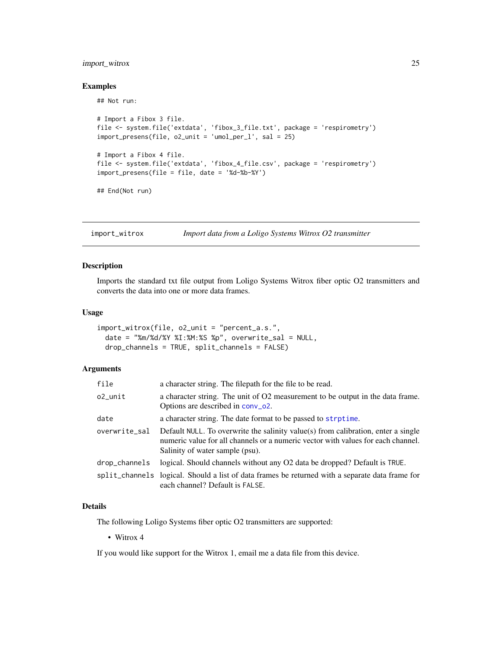### <span id="page-24-0"></span>import\_witrox 25

#### Examples

## Not run:

```
# Import a Fibox 3 file.
file <- system.file('extdata', 'fibox_3_file.txt', package = 'respirometry')
import_presens(file, o2_unit = 'umol_per_l', sal = 25)
# Import a Fibox 4 file.
file <- system.file('extdata', 'fibox_4_file.csv', package = 'respirometry')
import_presens(file = file, date = '%d-%b-%Y')
```
## End(Not run)

<span id="page-24-1"></span>import\_witrox *Import data from a Loligo Systems Witrox O2 transmitter*

### Description

Imports the standard txt file output from Loligo Systems Witrox fiber optic O2 transmitters and converts the data into one or more data frames.

#### Usage

```
import_witrox(file, o2_unit = "percent_a.s.",
 date = "%m/%d/%Y %I:%M:%S %p", overwrite_sal = NULL,
 drop_channels = TRUE, split_channels = FALSE)
```
### Arguments

| file          | a character string. The filepath for the file to be read.                                                                                                                                                |
|---------------|----------------------------------------------------------------------------------------------------------------------------------------------------------------------------------------------------------|
| o2_unit       | a character string. The unit of O2 measurement to be output in the data frame.<br>Options are described in conv_o2.                                                                                      |
| date          | a character string. The date format to be passed to strptime.                                                                                                                                            |
| overwrite_sal | Default NULL. To overwrite the salinity value(s) from calibration, enter a single<br>numeric value for all channels or a numeric vector with values for each channel.<br>Salinity of water sample (psu). |
| drop_channels | logical. Should channels without any O2 data be dropped? Default is TRUE.                                                                                                                                |
|               | split_channels logical. Should a list of data frames be returned with a separate data frame for<br>each channel? Default is FALSE.                                                                       |

### Details

The following Loligo Systems fiber optic O2 transmitters are supported:

• Witrox 4

If you would like support for the Witrox 1, email me a data file from this device.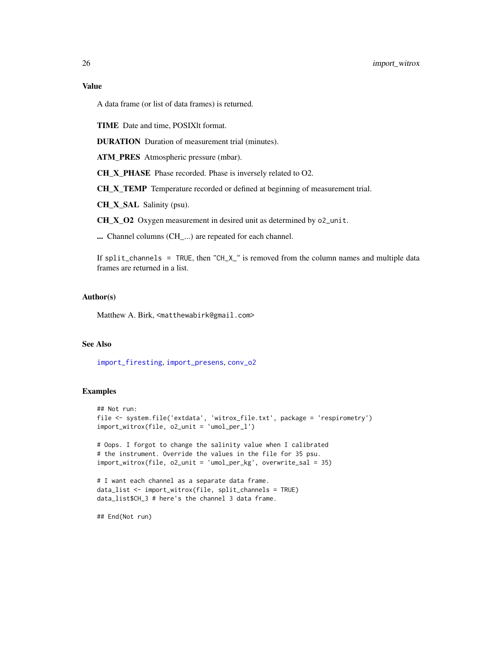### <span id="page-25-0"></span>Value

A data frame (or list of data frames) is returned.

TIME Date and time, POSIXlt format.

DURATION Duration of measurement trial (minutes).

ATM\_PRES Atmospheric pressure (mbar).

CH\_X\_PHASE Phase recorded. Phase is inversely related to O2.

CH\_X\_TEMP Temperature recorded or defined at beginning of measurement trial.

CH\_X\_SAL Salinity (psu).

CH\_X\_O2 Oxygen measurement in desired unit as determined by o2\_unit.

... Channel columns (CH\_...) are repeated for each channel.

If split\_channels = TRUE, then "CH\_X\_" is removed from the column names and multiple data frames are returned in a list.

### Author(s)

Matthew A. Birk, <matthewabirk@gmail.com>

### See Also

[import\\_firesting](#page-20-1), [import\\_presens](#page-22-1), [conv\\_o2](#page-10-1)

### Examples

```
## Not run:
file <- system.file('extdata', 'witrox_file.txt', package = 'respirometry')
import_witrox(file, o2_unit = 'umol_per_l')
# Oops. I forgot to change the salinity value when I calibrated
# the instrument. Override the values in the file for 35 psu.
import_witrox(file, o2_unit = 'umol_per_kg', overwrite_sal = 35)
# I want each channel as a separate data frame.
data_list <- import_witrox(file, split_channels = TRUE)
data_list$CH_3 # here's the channel 3 data frame.
```
## End(Not run)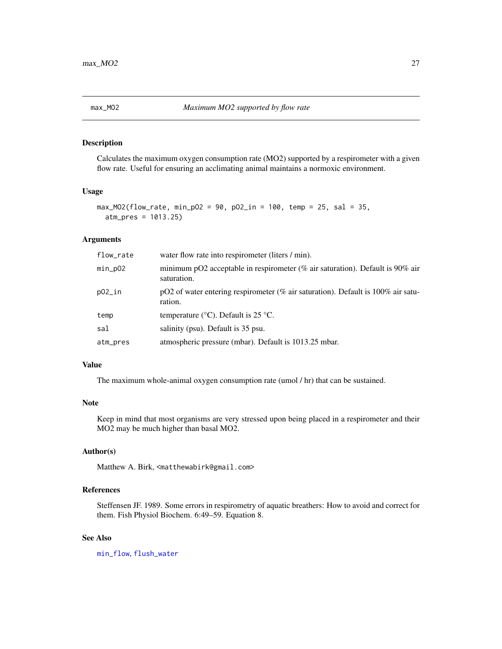<span id="page-26-1"></span><span id="page-26-0"></span>

### Description

Calculates the maximum oxygen consumption rate (MO2) supported by a respirometer with a given flow rate. Useful for ensuring an acclimating animal maintains a normoxic environment.

### Usage

```
max_MO2(flow_rate, min_pO2 = 90, pO2_in = 100, temp = 25, sal = 35,
 atm_pres = 1013.25)
```
### Arguments

| flow_rate | water flow rate into respirometer (liters / min).                                               |
|-----------|-------------------------------------------------------------------------------------------------|
| $min_pO2$ | minimum pO2 acceptable in respirometer (% air saturation). Default is $90\%$ air<br>saturation. |
| $p02$ _in | pO2 of water entering respirometer (% air saturation). Default is $100\%$ air satu-<br>ration.  |
| temp      | temperature ( $\rm{^{\circ}C}$ ). Default is 25 $\rm{^{\circ}C}$ .                              |
| sal       | salinity (psu). Default is 35 psu.                                                              |
| atm_pres  | atmospheric pressure (mbar). Default is 1013.25 mbar.                                           |

### Value

The maximum whole-animal oxygen consumption rate (umol / hr) that can be sustained.

### Note

Keep in mind that most organisms are very stressed upon being placed in a respirometer and their MO2 may be much higher than basal MO2.

### Author(s)

Matthew A. Birk, <matthewabirk@gmail.com>

### References

Steffensen JF. 1989. Some errors in respirometry of aquatic breathers: How to avoid and correct for them. Fish Physiol Biochem. 6:49–59. Equation 8.

#### See Also

[min\\_flow](#page-28-1), [flush\\_water](#page-15-1)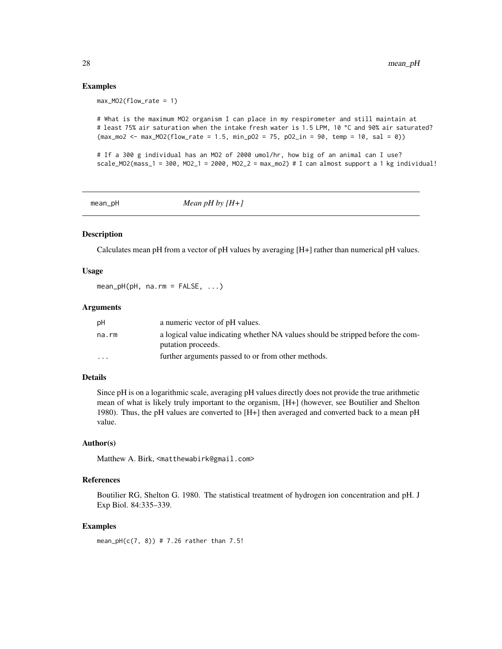### Examples

```
max_MO2(flow_rate = 1)
```

```
# What is the maximum MO2 organism I can place in my respirometer and still maintain at
# least 75% air saturation when the intake fresh water is 1.5 LPM, 10 °C and 90% air saturated?
(max_{1002} < - max_MO2(flow_rate = 1.5, min_pO2 = 75, pO2_in = 90, temp = 10, sal = 0))
```

```
# If a 300 g individual has an MO2 of 2000 umol/hr, how big of an animal can I use?
scale_MO2(mass_1 = 300, MO2_1 = 2000, MO2_2 = max_mo2) # I can almost support a 1 kg individual!
```
mean\_pH *Mean pH by [H+]*

### Description

Calculates mean pH from a vector of pH values by averaging [H+] rather than numerical pH values.

### Usage

 $mean_pH(pH, na.rm = FALSE, ...)$ 

#### **Arguments**

| рH                      | a numeric vector of pH values.                                                  |
|-------------------------|---------------------------------------------------------------------------------|
| na.rm                   | a logical value indicating whether NA values should be stripped before the com- |
|                         | putation proceeds.                                                              |
| $\cdot$ $\cdot$ $\cdot$ | further arguments passed to or from other methods.                              |

### Details

Since pH is on a logarithmic scale, averaging pH values directly does not provide the true arithmetic mean of what is likely truly important to the organism, [H+] (however, see Boutilier and Shelton 1980). Thus, the pH values are converted to [H+] then averaged and converted back to a mean pH value.

### Author(s)

Matthew A. Birk, <matthewabirk@gmail.com>

#### References

Boutilier RG, Shelton G. 1980. The statistical treatment of hydrogen ion concentration and pH. J Exp Biol. 84:335–339.

### Examples

```
mean_pH(c(7, 8)) # 7.26 rather than 7.5!
```
<span id="page-27-0"></span>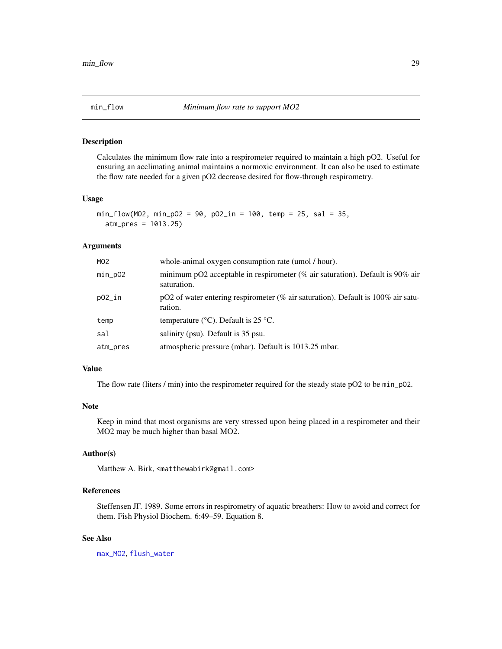<span id="page-28-1"></span><span id="page-28-0"></span>

### Description

Calculates the minimum flow rate into a respirometer required to maintain a high pO2. Useful for ensuring an acclimating animal maintains a normoxic environment. It can also be used to estimate the flow rate needed for a given pO2 decrease desired for flow-through respirometry.

### Usage

```
min_flow(MO2, min_pO2 = 90, pO2_in = 100, temp = 25, sal = 35,
  atm_pres = 1013.25)
```
### Arguments

| whole-animal oxygen consumption rate (umol / hour).                                             |  |
|-------------------------------------------------------------------------------------------------|--|
| minimum pO2 acceptable in respirometer (% air saturation). Default is $90\%$ air<br>saturation. |  |
| pO2 of water entering respirometer (% air saturation). Default is $100\%$ air satu-<br>ration.  |  |
| temperature ( $\rm{^{\circ}C}$ ). Default is 25 $\rm{^{\circ}C}$ .                              |  |
| salinity (psu). Default is 35 psu.                                                              |  |
| atmospheric pressure (mbar). Default is 1013.25 mbar.                                           |  |
|                                                                                                 |  |

### Value

The flow rate (liters / min) into the respirometer required for the steady state pO2 to be min\_p02.

### Note

Keep in mind that most organisms are very stressed upon being placed in a respirometer and their MO2 may be much higher than basal MO2.

### Author(s)

Matthew A. Birk, <matthewabirk@gmail.com>

### References

Steffensen JF. 1989. Some errors in respirometry of aquatic breathers: How to avoid and correct for them. Fish Physiol Biochem. 6:49–59. Equation 8.

#### See Also

[max\\_MO2](#page-26-1), [flush\\_water](#page-15-1)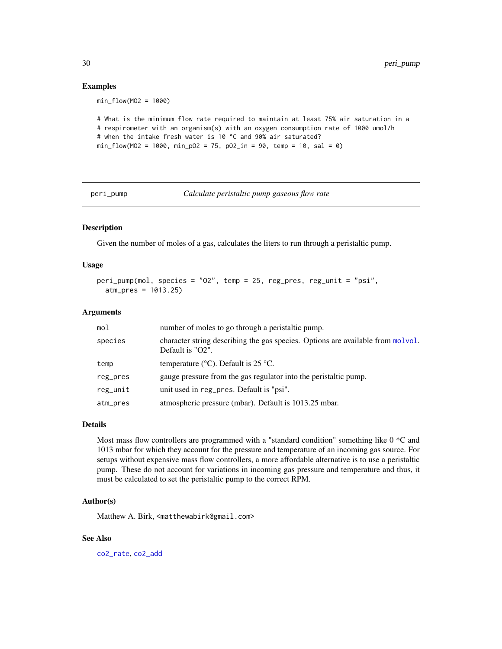### Examples

min\_flow(MO2 = 1000)

```
# What is the minimum flow rate required to maintain at least 75% air saturation in a
# respirometer with an organism(s) with an oxygen consumption rate of 1000 umol/h
# when the intake fresh water is 10 °C and 90% air saturated?
min_flow(MO2 = 1000, min_pO2 = 75, pO2_in = 90, temp = 10, sal = 0)
```
<span id="page-29-1"></span>

peri\_pump *Calculate peristaltic pump gaseous flow rate*

### Description

Given the number of moles of a gas, calculates the liters to run through a peristaltic pump.

### Usage

```
peri_pump(mol, species = "O2", temp = 25, reg_pres, reg_unit = "psi",
  atm_pres = 1013.25)
```
### Arguments

| mol      | number of moles to go through a peristaltic pump.                                                   |  |
|----------|-----------------------------------------------------------------------------------------------------|--|
| species  | character string describing the gas species. Options are available from molvol.<br>Default is "O2". |  |
| temp     | temperature ( $\rm{°C}$ ). Default is 25 $\rm{°C}$ .                                                |  |
| reg_pres | gauge pressure from the gas regulator into the peristaltic pump.                                    |  |
| reg_unit | unit used in reg_pres. Default is "psi".                                                            |  |
| atm_pres | atmospheric pressure (mbar). Default is 1013.25 mbar.                                               |  |

### Details

Most mass flow controllers are programmed with a "standard condition" something like 0 \*C and 1013 mbar for which they account for the pressure and temperature of an incoming gas source. For setups without expensive mass flow controllers, a more affordable alternative is to use a peristaltic pump. These do not account for variations in incoming gas pressure and temperature and thus, it must be calculated to set the peristaltic pump to the correct RPM.

### Author(s)

Matthew A. Birk, <matthewabirk@gmail.com>

#### See Also

[co2\\_rate](#page-7-1), [co2\\_add](#page-5-1)

<span id="page-29-0"></span>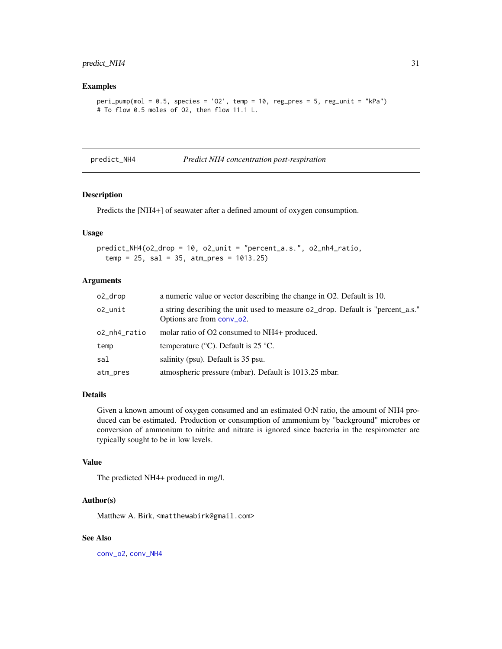### <span id="page-30-0"></span>predict\_NH4 31

### Examples

```
peri\_pump(mol = 0.5, species = 'O2', temp = 10, reg\_pres = 5, reg\_unit = "kPa")# To flow 0.5 moles of O2, then flow 11.1 L.
```
<span id="page-30-1"></span>predict\_NH4 *Predict NH4 concentration post-respiration*

### Description

Predicts the [NH4+] of seawater after a defined amount of oxygen consumption.

#### Usage

predict\_NH4(o2\_drop = 10, o2\_unit = "percent\_a.s.", o2\_nh4\_ratio,  $temp = 25$ ,  $sal = 35$ ,  $atm_pres = 1013.25$ 

#### Arguments

| o2_drop      | a numeric value or vector describing the change in O2. Default is 10.                                        |
|--------------|--------------------------------------------------------------------------------------------------------------|
| o2 unit      | a string describing the unit used to measure of drop. Default is "percent_a.s."<br>Options are from conv_o2. |
| o2_nh4_ratio | molar ratio of O2 consumed to NH4+ produced.                                                                 |
| temp         | temperature ( $\rm{^{\circ}C}$ ). Default is 25 $\rm{^{\circ}C}$ .                                           |
| sal          | salinity (psu). Default is 35 psu.                                                                           |
| atm_pres     | atmospheric pressure (mbar). Default is 1013.25 mbar.                                                        |

### Details

Given a known amount of oxygen consumed and an estimated O:N ratio, the amount of NH4 produced can be estimated. Production or consumption of ammonium by "background" microbes or conversion of ammonium to nitrite and nitrate is ignored since bacteria in the respirometer are typically sought to be in low levels.

#### Value

The predicted NH4+ produced in mg/l.

### Author(s)

Matthew A. Birk, <matthewabirk@gmail.com>

#### See Also

[conv\\_o2](#page-10-1), [conv\\_NH4](#page-9-1)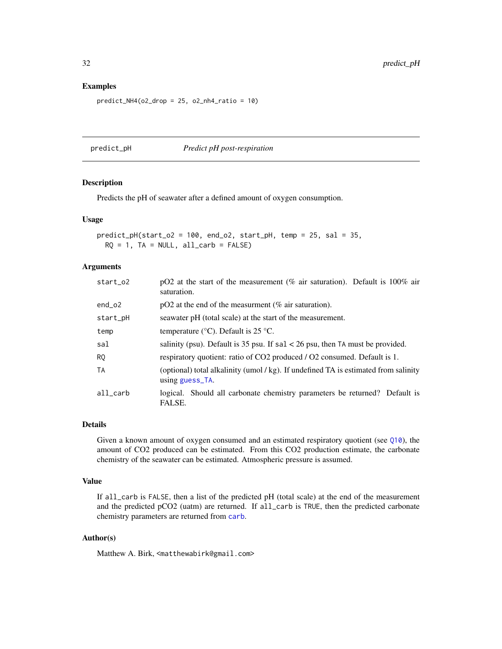#### Examples

```
predict_NHA(o2_drop = 25, o2_nh4_ratio = 10)
```
<span id="page-31-1"></span>predict\_pH *Predict pH post-respiration*

### Description

Predicts the pH of seawater after a defined amount of oxygen consumption.

### Usage

```
predict\_pH(start\_o2 = 100, end_o2, start\_pH, temp = 25, sal = 35,RQ = 1, TA = NULL, all\_carb = FALSE)
```
### Arguments

| start_o2  | pO2 at the start of the measurement (% air saturation). Default is $100\%$ air<br>saturation.        |  |
|-----------|------------------------------------------------------------------------------------------------------|--|
| $end_02$  | $pO2$ at the end of the measurment (% air saturation).                                               |  |
| start_pH  | seawater pH (total scale) at the start of the measurement.                                           |  |
| temp      | temperature ( $\degree$ C). Default is 25 $\degree$ C.                                               |  |
| sal       | salinity (psu). Default is 35 psu. If $sal < 26$ psu, then TA must be provided.                      |  |
| RQ        | respiratory quotient: ratio of CO2 produced / O2 consumed. Default is 1.                             |  |
| <b>TA</b> | (optional) total alkalinity (umol/kg). If undefined TA is estimated from salinity<br>using guess_TA. |  |
| all carb  | logical. Should all carbonate chemistry parameters be returned? Default is<br>FALSE.                 |  |

### Details

Given a known amount of oxygen consumed and an estimated respiratory quotient (see [Q10](#page-32-1)), the amount of CO2 produced can be estimated. From this CO2 production estimate, the carbonate chemistry of the seawater can be estimated. Atmospheric pressure is assumed.

### Value

If all\_carb is FALSE, then a list of the predicted pH (total scale) at the end of the measurement and the predicted pCO2 (uatm) are returned. If all\_carb is TRUE, then the predicted carbonate chemistry parameters are returned from [carb](#page-0-0).

### Author(s)

Matthew A. Birk, <matthewabirk@gmail.com>

<span id="page-31-0"></span>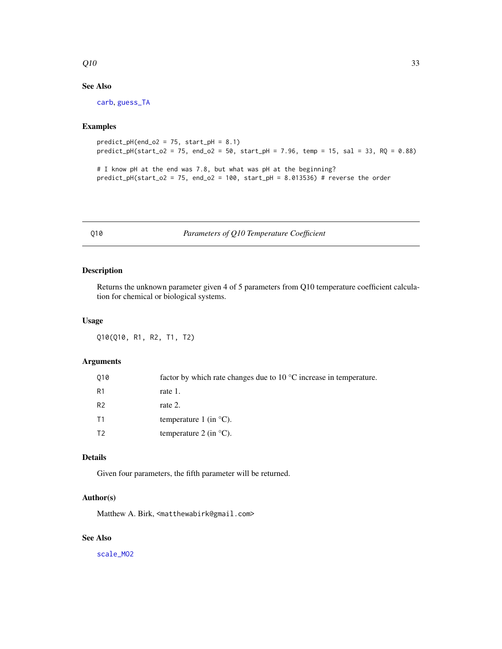### <span id="page-32-0"></span> $Q10$  33

### See Also

[carb](#page-0-0), [guess\\_TA](#page-18-1)

### Examples

```
predict\_pH(end_02 = 75, start\_pH = 8.1)predict\_pH(start\_o2 = 75, end\_o2 = 50, start\_pH = 7.96, temp = 15, sal = 33, RQ = 0.88)
```
# I know pH at the end was 7.8, but what was pH at the beginning? predict\_pH(start\_o2 = 75, end\_o2 = 100, start\_pH =  $8.013536$ ) # reverse the order

<span id="page-32-1"></span>Q10 *Parameters of Q10 Temperature Coefficient*

### Description

Returns the unknown parameter given 4 of 5 parameters from Q10 temperature coefficient calculation for chemical or biological systems.

### Usage

Q10(Q10, R1, R2, T1, T2)

### Arguments

| 010            | factor by which rate changes due to $10^{\circ}$ C increase in temperature. |
|----------------|-----------------------------------------------------------------------------|
| R1             | rate 1.                                                                     |
| R <sub>2</sub> | rate 2.                                                                     |
| Τ1             | temperature 1 (in $^{\circ}$ C).                                            |
| Т2             | temperature 2 (in $^{\circ}$ C).                                            |

### Details

Given four parameters, the fifth parameter will be returned.

### Author(s)

Matthew A. Birk, <matthewabirk@gmail.com>

### See Also

[scale\\_MO2](#page-35-1)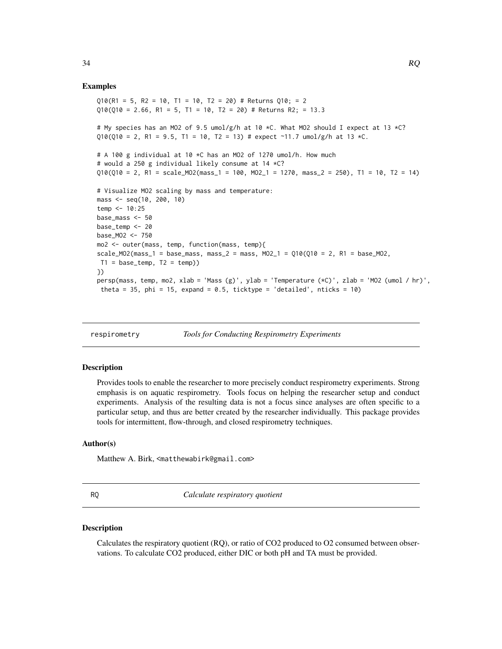#### Examples

```
Q10(R1 = 5, R2 = 10, T1 = 10, T2 = 20) # Returns Q10; = 2
Q10(Q10 = 2.66, R1 = 5, T1 = 10, T2 = 20) # Returns R2; = 13.3
# My species has an MO2 of 9.5 umol/g/h at 10 *C. What MO2 should I expect at 13 *C?
010(010 = 2, R1 = 9.5, T1 = 10, T2 = 13) # expect ~11.7 umol/g/h at 13 *C.
# A 100 g individual at 10 *C has an MO2 of 1270 umol/h. How much
# would a 250 g individual likely consume at 14 *C?
Q10(Q10 = 2, R1 = scale_M02(mass_1 = 100, MO2_1 = 1270, mass_2 = 250), T1 = 10, T2 = 14)# Visualize MO2 scaling by mass and temperature:
mass <- seq(10, 200, 10)
temp < -10:25base_mass <- 50
base_temp <- 20
base_MO2 <- 750
mo2 <- outer(mass, temp, function(mass, temp){
scale_MO2(mass_1 = base_mass, mass_2 = mass, MO2_1 = Q10(Q10 = 2, R1 = base_MO2,T1 = base_ttemp, T2 = temp)})
persp(mass, temp, mo2, xlab = 'Mass (g)', ylab = 'Temperature (*C)', zlab = 'MO2 (umol / hr)',
 theta = 35, phi = 15, expand = 0.5, ticktype = 'detailed', nticks = 10)
```
respirometry *Tools for Conducting Respirometry Experiments*

#### **Description**

Provides tools to enable the researcher to more precisely conduct respirometry experiments. Strong emphasis is on aquatic respirometry. Tools focus on helping the researcher setup and conduct experiments. Analysis of the resulting data is not a focus since analyses are often specific to a particular setup, and thus are better created by the researcher individually. This package provides tools for intermittent, flow-through, and closed respirometry techniques.

### Author(s)

Matthew A. Birk, <matthewabirk@gmail.com>

RQ *Calculate respiratory quotient*

### Description

Calculates the respiratory quotient (RQ), or ratio of CO2 produced to O2 consumed between observations. To calculate CO2 produced, either DIC or both pH and TA must be provided.

<span id="page-33-0"></span>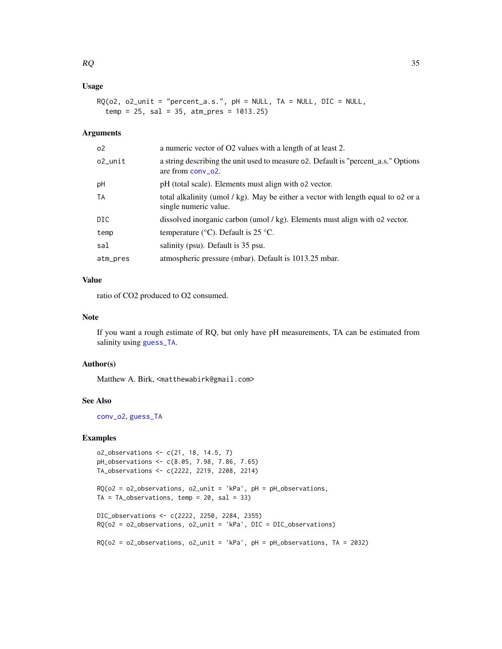### <span id="page-34-0"></span>Usage

```
RQ(o2, o2_unit = "percent_a.s.", pH = NULL, TA = NULL, DIC = NULL,
  temp = 25, sal = 35, atm_pres = 1013.25)
```
### Arguments

| о2.      | a numeric vector of O2 values with a length of at least 2.                                                 |
|----------|------------------------------------------------------------------------------------------------------------|
| o2_unit  | a string describing the unit used to measure o2. Default is "percent_a.s." Options<br>are from $conv_02$ . |
| рH       | pH (total scale). Elements must align with o2 vector.                                                      |
| ТA       | total alkalinity (umol / kg). May be either a vector with length equal to 02 or a<br>single numeric value. |
| DIC      | dissolved inorganic carbon (umol / kg). Elements must align with 02 vector.                                |
| temp     | temperature ( $\rm{^{\circ}C}$ ). Default is 25 $\rm{^{\circ}C}$ .                                         |
| sal      | salinity (psu). Default is 35 psu.                                                                         |
| atm_pres | atmospheric pressure (mbar). Default is 1013.25 mbar.                                                      |

### Value

ratio of CO2 produced to O2 consumed.

### Note

If you want a rough estimate of RQ, but only have pH measurements, TA can be estimated from salinity using [guess\\_TA](#page-18-1).

### Author(s)

Matthew A. Birk, <matthewabirk@gmail.com>

### See Also

[conv\\_o2](#page-10-1), [guess\\_TA](#page-18-1)

### Examples

```
o2_observations <- c(21, 18, 14.5, 7)
pH_observations <- c(8.05, 7.98, 7.86, 7.65)
TA_observations <- c(2222, 2219, 2208, 2214)
```

```
RQ(o2 = o2_observations, o2_unit = 'kPa', pH = pH_observations,
TA = TA\_observations, temp = 20, sal = 33)
```

```
DIC_observations <- c(2222, 2250, 2284, 2355)
RQ(o2 = o2_observations, o2_unit = 'kPa', DIC = DIC_observations)
```

```
RQ(o2 = o2_observations, o2_unit = 'kPa', pH = pH_observations, TA = 2032)
```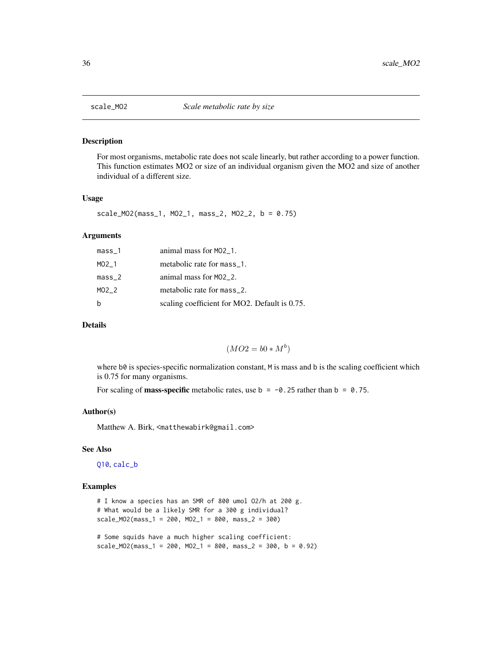<span id="page-35-1"></span><span id="page-35-0"></span>

#### Description

For most organisms, metabolic rate does not scale linearly, but rather according to a power function. This function estimates MO2 or size of an individual organism given the MO2 and size of another individual of a different size.

### Usage

scale\_MO2(mass\_1, MO2\_1, mass\_2, MO2\_2, b = 0.75)

#### Arguments

| mass_1 | animal mass for M02_1.                        |
|--------|-----------------------------------------------|
| MO2 1  | metabolic rate for mass_1.                    |
| mass_2 | animal mass for $MO2_2$ .                     |
| MO2 2  | metabolic rate for mass_2.                    |
| h      | scaling coefficient for MO2. Default is 0.75. |

### Details

$$
(MO2 = b0 * M^b)
$$

where  $b\theta$  is species-specific normalization constant, M is mass and b is the scaling coefficient which is 0.75 for many organisms.

For scaling of **mass-specific** metabolic rates, use  $b = -0.25$  rather than  $b = 0.75$ .

#### Author(s)

Matthew A. Birk, <matthewabirk@gmail.com>

#### See Also

[Q10](#page-32-1), [calc\\_b](#page-1-1)

### Examples

# I know a species has an SMR of 800 umol O2/h at 200 g. # What would be a likely SMR for a 300 g individual? scale\_MO2(mass\_1 = 200, MO2\_1 = 800, mass\_2 = 300)

# Some squids have a much higher scaling coefficient:  $scale_{19} = 200, MO21 = 800, mass2 = 300, b = 0.92)$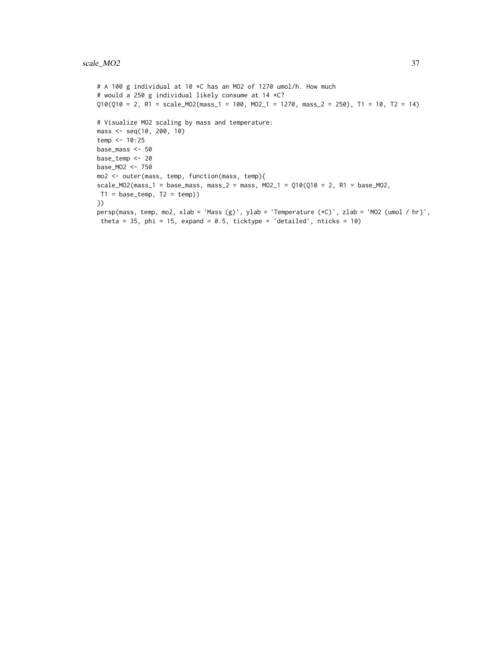```
# A 100 g individual at 10 *C has an MO2 of 1270 umol/h. How much
# would a 250 g individual likely consume at 14 *C?
Q10(Q10 = 2, R1 = scale_MO2(mass_1 = 100, MO2_1 = 1270, mass_2 = 250), T1 = 10, T2 = 14)
# Visualize MO2 scaling by mass and temperature:
mass <- seq(10, 200, 10)
temp < -10:25base_mass <- 50
base_temp <- 20
base_MO2 <- 750
mo2 <- outer(mass, temp, function(mass, temp){
scale_MO2(mass_1 = base_mass, mass_2 = mass, MO2_1 = Q10(Q10 = 2, R1 = base_M02,T1 = base_ttemp, T2 = temp)})
persp(mass, temp, mo2, xlab = 'Mass (g)', ylab = 'Temperature (*C)', zlab = 'MO2 (umol / hr)',
theta = 35, phi = 15, expand = 0.5, ticktype = 'detailed', nticks = 10)
```